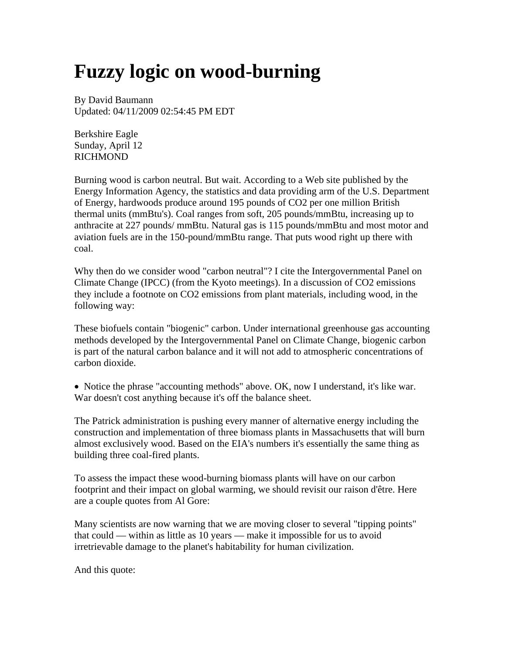## **Fuzzy logic on wood-burning**

By David Baumann Updated: 04/11/2009 02:54:45 PM EDT

Berkshire Eagle Sunday, April 12 RICHMOND

Burning wood is carbon neutral. But wait. According to a Web site published by the Energy Information Agency, the statistics and data providing arm of the U.S. Department of Energy, hardwoods produce around 195 pounds of CO2 per one million British thermal units (mmBtu's). Coal ranges from soft, 205 pounds/mmBtu, increasing up to anthracite at 227 pounds/ mmBtu. Natural gas is 115 pounds/mmBtu and most motor and aviation fuels are in the 150-pound/mmBtu range. That puts wood right up there with coal.

Why then do we consider wood "carbon neutral"? I cite the Intergovernmental Panel on Climate Change (IPCC) (from the Kyoto meetings). In a discussion of CO2 emissions they include a footnote on CO2 emissions from plant materials, including wood, in the following way:

These biofuels contain "biogenic" carbon. Under international greenhouse gas accounting methods developed by the Intergovernmental Panel on Climate Change, biogenic carbon is part of the natural carbon balance and it will not add to atmospheric concentrations of carbon dioxide.

• Notice the phrase "accounting methods" above. OK, now I understand, it's like war. War doesn't cost anything because it's off the balance sheet.

The Patrick administration is pushing every manner of alternative energy including the construction and implementation of three biomass plants in Massachusetts that will burn almost exclusively wood. Based on the EIA's numbers it's essentially the same thing as building three coal-fired plants.

To assess the impact these wood-burning biomass plants will have on our carbon footprint and their impact on global warming, we should revisit our raison d'être. Here are a couple quotes from Al Gore:

Many scientists are now warning that we are moving closer to several "tipping points" that could — within as little as 10 years — make it impossible for us to avoid irretrievable damage to the planet's habitability for human civilization.

And this quote: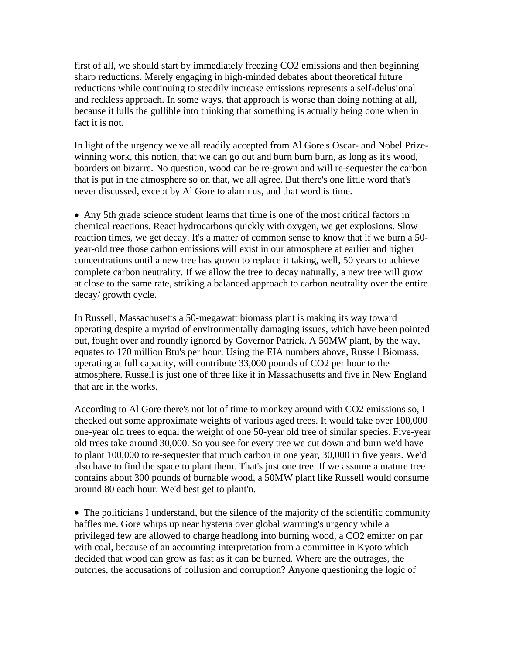first of all, we should start by immediately freezing CO2 emissions and then beginning sharp reductions. Merely engaging in high-minded debates about theoretical future reductions while continuing to steadily increase emissions represents a self-delusional and reckless approach. In some ways, that approach is worse than doing nothing at all, because it lulls the gullible into thinking that something is actually being done when in fact it is not.

In light of the urgency we've all readily accepted from Al Gore's Oscar- and Nobel Prizewinning work, this notion, that we can go out and burn burn burn, as long as it's wood, boarders on bizarre. No question, wood can be re-grown and will re-sequester the carbon that is put in the atmosphere so on that, we all agree. But there's one little word that's never discussed, except by Al Gore to alarm us, and that word is time.

• Any 5th grade science student learns that time is one of the most critical factors in chemical reactions. React hydrocarbons quickly with oxygen, we get explosions. Slow reaction times, we get decay. It's a matter of common sense to know that if we burn a 50 year-old tree those carbon emissions will exist in our atmosphere at earlier and higher concentrations until a new tree has grown to replace it taking, well, 50 years to achieve complete carbon neutrality. If we allow the tree to decay naturally, a new tree will grow at close to the same rate, striking a balanced approach to carbon neutrality over the entire decay/ growth cycle.

In Russell, Massachusetts a 50-megawatt biomass plant is making its way toward operating despite a myriad of environmentally damaging issues, which have been pointed out, fought over and roundly ignored by Governor Patrick. A 50MW plant, by the way, equates to 170 million Btu's per hour. Using the EIA numbers above, Russell Biomass, operating at full capacity, will contribute 33,000 pounds of CO2 per hour to the atmosphere. Russell is just one of three like it in Massachusetts and five in New England that are in the works.

According to Al Gore there's not lot of time to monkey around with CO2 emissions so, I checked out some approximate weights of various aged trees. It would take over 100,000 one-year old trees to equal the weight of one 50-year old tree of similar species. Five-year old trees take around 30,000. So you see for every tree we cut down and burn we'd have to plant 100,000 to re-sequester that much carbon in one year, 30,000 in five years. We'd also have to find the space to plant them. That's just one tree. If we assume a mature tree contains about 300 pounds of burnable wood, a 50MW plant like Russell would consume around 80 each hour. We'd best get to plant'n.

• The politicians I understand, but the silence of the majority of the scientific community baffles me. Gore whips up near hysteria over global warming's urgency while a privileged few are allowed to charge headlong into burning wood, a CO2 emitter on par with coal, because of an accounting interpretation from a committee in Kyoto which decided that wood can grow as fast as it can be burned. Where are the outrages, the outcries, the accusations of collusion and corruption? Anyone questioning the logic of